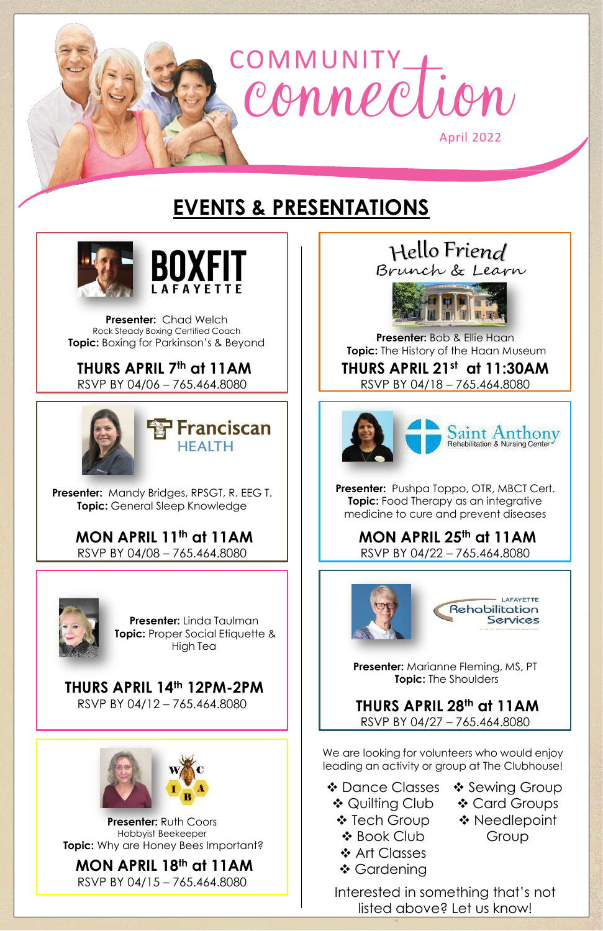

## **EVENTS & PRESENTATIONS**





**THURS APRIL 7th at 11AM**

RSVP BY 04/06 – 765.464.8080



**Presenter:** Chad Welch Rock Steady Boxing Certified Coach **Topic:** Boxing for Parkinson's & Beyond

**Presenter:** Bob & Ellie Haan **Topic:** The History of the Haan Museum

RSVP BY 04/18 – 765.464.8080



### **THURS APRIL 21st at 11:30AM**

#### **Presenter:** Ruth Coors Hobbyist Beekeeper **Topic:** Why are Honey Bees Important?

**MON APRIL 11th at 11AM** RSVP BY 04/08 – 765.464.8080



**MON APRIL 25th at 11AM** RSVP BY 04/22 – 765.464.8080



#### **THURS APRIL 28th at 11AM** RSVP BY 04/27 – 765.464.8080

#### **THURS APRIL 14th 12PM-2PM** RSVP BY 04/12 – 765.464.8080



We are looking for volunteers who would enjoy leading an activity or group at The Clubhouse!

#### **MON APRIL 18th at 11AM** RSVP BY 04/15 – 765.464.8080

- ❖ Dance Classes **❖ Quilting Club** 
	- ❖ Tech Group
	- Book Club
	- ❖ Art Classes
	- ❖ Gardening
- ❖ Sewing Group Card Groups ❖ Needlepoint Group

**Presenter:** Marianne Fleming, MS, PT **Topic:** The Shoulders

**Presenter:** Linda Taulman **Topic:** Proper Social Etiquette & High Tea

Hello Friend Brunch & Learn



**Presenter:** Pushpa Toppo, OTR, MBCT Cert. **Topic:** Food Therapy as an integrative medicine to cure and prevent diseases

**Presenter:** Mandy Bridges, RPSGT, R. EEG T. **Topic:** General Sleep Knowledge

> Interested in something that's not listed above? Let us know!